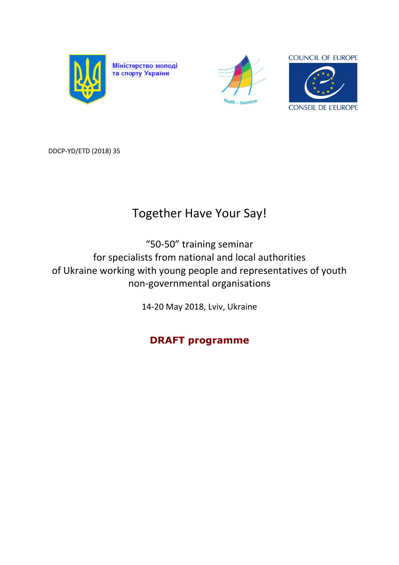

Міністерство молоді<br>та спорту України





DDCP-YD/ETD (2018) 35

# Together Have Your Say!

"50-50" training seminar for specialists from national and local authorities of Ukraine working with young people and representatives of youth non-governmental organisations

14-20 May 2018, Lviv, Ukraine

**DRAFT programme**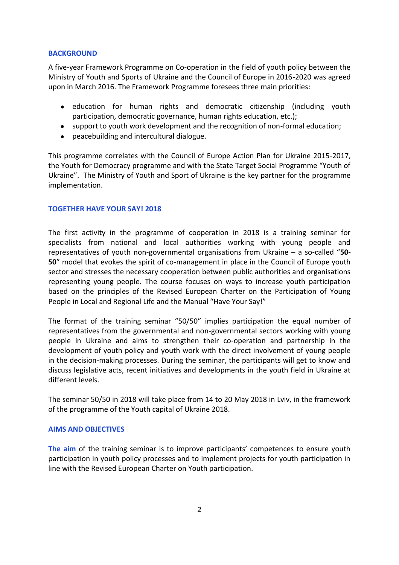### **BACKGROUND**

A five-year Framework Programme on Co-operation in the field of youth policy between the Ministry of Youth and Sports of Ukraine and the Council of Europe in 2016-2020 was agreed upon in March 2016. The Framework Programme foresees three main priorities:

- education for human rights and democratic citizenship (including youth participation, democratic governance, human rights education, etc.);
- support to youth work development and the recognition of non-formal education;
- peacebuilding and intercultural dialogue.

This programme correlates with the Council of Europe Action Plan for Ukraine 2015-2017, the Youth for Democracy programme and with the State Target Social Programme "Youth of Ukraine". The Ministry of Youth and Sport of Ukraine is the key partner for the programme implementation.

## **TOGETHER HAVE YOUR SAY! 2018**

The first activity in the programme of cooperation in 2018 is a training seminar for specialists from national and local authorities working with young people and representatives of youth non-governmental organisations from Ukraine – a so-called "**50- 50**" model that evokes the spirit of co-management in place in the Council of Europe youth sector and stresses the necessary cooperation between public authorities and organisations representing young people. The course focuses on ways to increase youth participation based on the principles of the Revised European Charter on the Participation of Young People in Local and Regional Life and the Manual "Have Your Say!"

The format of the training seminar "50/50" implies participation the equal number of representatives from the governmental and non-governmental sectors working with young people in Ukraine and aims to strengthen their co-operation and partnership in the development of youth policy and youth work with the direct involvement of young people in the decision-making processes. During the seminar, the participants will get to know and discuss legislative acts, recent initiatives and developments in the youth field in Ukraine at different levels.

The seminar 50/50 in 2018 will take place from 14 to 20 May 2018 in Lviv, in the framework of the programme of the Youth capital of Ukraine 2018.

#### **AIMS AND OBJECTIVES**

**The aim** of the training seminar is to improve participants' competences to ensure youth participation in youth policy processes and to implement projects for youth participation in line with the Revised European Charter on Youth participation.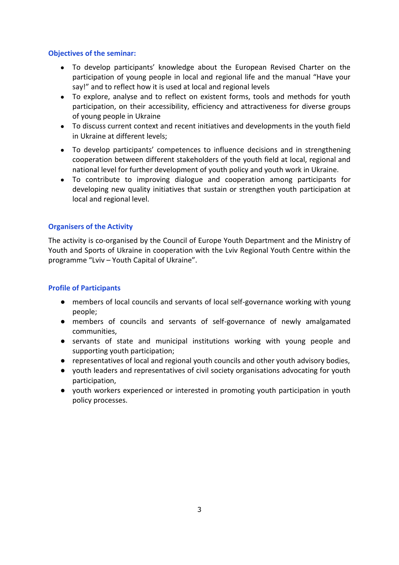## **Objectives of the seminar:**

- To develop participants' knowledge about the European Revised Charter on the participation of young people in local and regional life and the manual "Have your say!" and to reflect how it is used at local and regional levels
- To explore, analyse and to reflect on existent forms, tools and methods for youth participation, on their accessibility, efficiency and attractiveness for diverse groups of young people in Ukraine
- To discuss current context and recent initiatives and developments in the youth field in Ukraine at different levels;
- To develop participants' competences to influence decisions and in strengthening cooperation between different stakeholders of the youth field at local, regional and national level for further development of youth policy and youth work in Ukraine.
- To contribute to improving dialogue and cooperation among participants for developing new quality initiatives that sustain or strengthen youth participation at local and regional level.

## **Organisers of the Activity**

The activity is co-organised by the Council of Europe Youth Department and the Ministry of Youth and Sports of Ukraine in cooperation with the Lviv Regional Youth Centre within the programme "Lviv – Youth Capital of Ukraine".

## **Profile of Participants**

- members of local councils and servants of local self-governance working with young people;
- members of councils and servants of self-governance of newly amalgamated communities,
- servants of state and municipal institutions working with young people and supporting youth participation;
- representatives of local and regional youth councils and other youth advisory bodies,
- youth leaders and representatives of civil society organisations advocating for youth participation,
- youth workers experienced or interested in promoting youth participation in youth policy processes.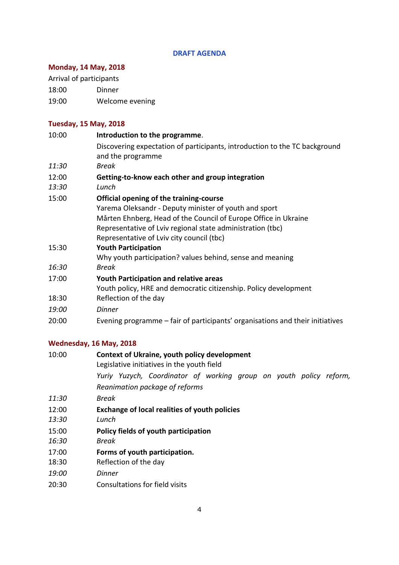## **DRAFT AGENDA**

# **Monday, 14 May, 2018**

Arrival of participants

18:00 Dinner

19:00 Welcome evening

## **Tuesday, 15 May, 2018**

| 10:00        | Introduction to the programme.                                                                  |
|--------------|-------------------------------------------------------------------------------------------------|
|              | Discovering expectation of participants, introduction to the TC background<br>and the programme |
| 11:30        | Break                                                                                           |
| 12:00        | Getting-to-know each other and group integration                                                |
| 13:30        | Lunch                                                                                           |
| 15:00        | Official opening of the training-course                                                         |
|              | Yarema Oleksandr - Deputy minister of youth and sport                                           |
|              | Mårten Ehnberg, Head of the Council of Europe Office in Ukraine                                 |
|              | Representative of Lviv regional state administration (tbc)                                      |
|              | Representative of Lviv city council (tbc)                                                       |
| 15:30        | <b>Youth Participation</b>                                                                      |
|              | Why youth participation? values behind, sense and meaning                                       |
| 16:30        | <b>Break</b>                                                                                    |
| 17:00        | <b>Youth Participation and relative areas</b>                                                   |
|              | Youth policy, HRE and democratic citizenship. Policy development                                |
| 18:30        | Reflection of the day                                                                           |
| <i>19:00</i> | <b>Dinner</b>                                                                                   |
| 20:00        | Evening programme – fair of participants' organisations and their initiatives                   |

# **Wednesday, 16 May, 2018**

| 10:00 | Context of Ukraine, youth policy development<br>Legislative initiatives in the youth field |
|-------|--------------------------------------------------------------------------------------------|
|       | Yuriy Yuzych, Coordinator of working group on youth policy reform,                         |
|       | Reanimation package of reforms                                                             |
| 11:30 | Break                                                                                      |
| 12:00 | <b>Exchange of local realities of youth policies</b>                                       |
| 13:30 | Lunch                                                                                      |
| 15:00 | Policy fields of youth participation                                                       |
| 16:30 | <b>Break</b>                                                                               |
| 17:00 | Forms of youth participation.                                                              |
| 18:30 | Reflection of the day                                                                      |
| 19:00 | Dinner                                                                                     |
| 20:30 | Consultations for field visits                                                             |
|       |                                                                                            |